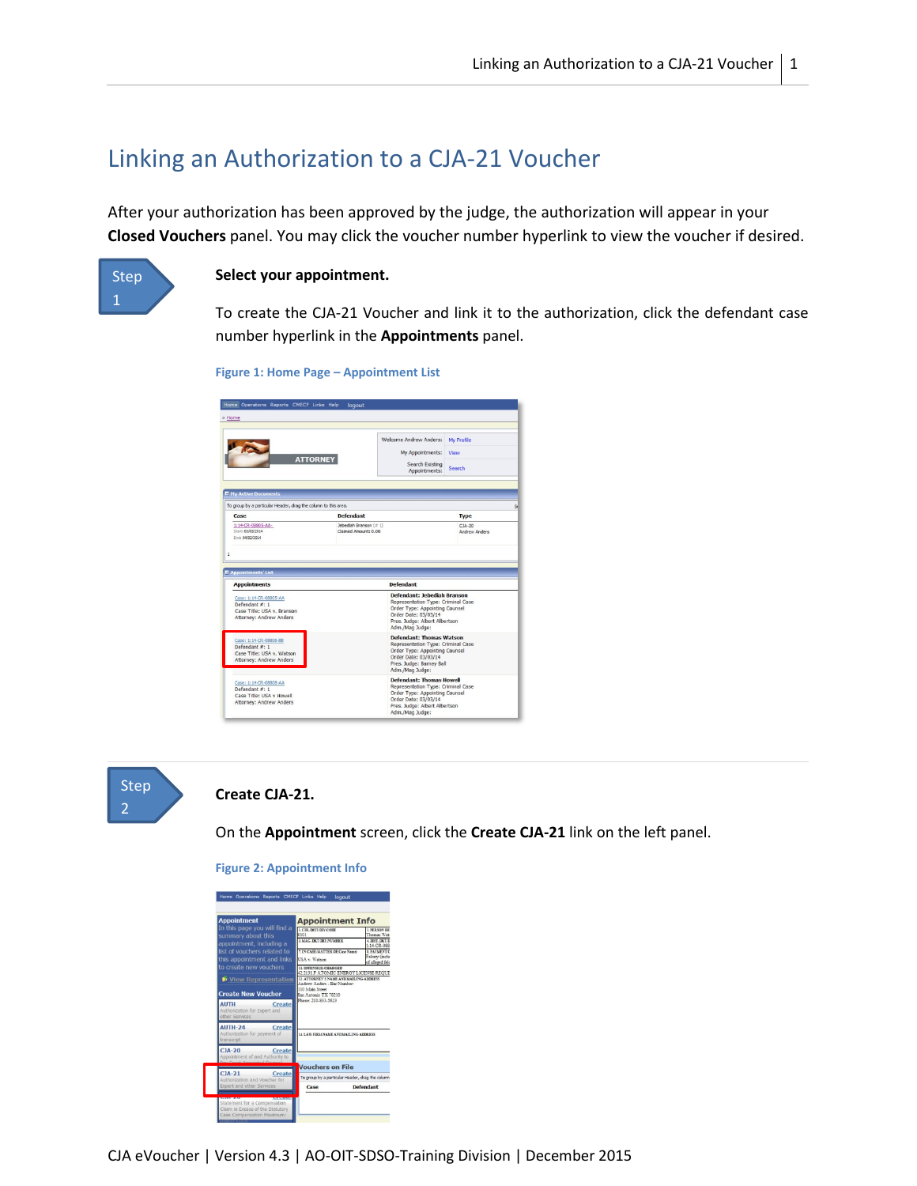# Linking an Authorization to a CJA-21 Voucher

After your authorization has been approved by the judge, the authorization will appear in your **Closed Vouchers** panel. You may click the voucher number hyperlink to view the voucher if desired.



#### **Select your appointment.**

To create the CJA-21 Voucher and link it to the authorization, click the defendant case number hyperlink in the **Appointments** panel.

```
Figure 1: Home Page – Appointment List
```

| > Home                                                                                                                   |                                                |                                                                                                                                                                                        |                                    |  |  |
|--------------------------------------------------------------------------------------------------------------------------|------------------------------------------------|----------------------------------------------------------------------------------------------------------------------------------------------------------------------------------------|------------------------------------|--|--|
| <b>ATTORNEY</b>                                                                                                          |                                                | Welcome Andrew Anders:<br>My Appointments:<br>Search Existing<br>Appointments:                                                                                                         | My Profile<br>View<br>Search       |  |  |
| <b>E Hy Active Documents</b>                                                                                             |                                                |                                                                                                                                                                                        |                                    |  |  |
| To group by a particular Header, drag the column to this area.<br>Case                                                   | <b>Defendant</b>                               |                                                                                                                                                                                        | <b>Type</b>                        |  |  |
| 1:14-CR-08805-AA-<br>Start: 03/03/2014<br>Fed: 04/07/2014                                                                | Jebediah Branson (# 1)<br>Claimed Amount: 0.00 |                                                                                                                                                                                        | $C14 - 20$<br><b>Andrew Anders</b> |  |  |
| <b>E</b> Appointments' List                                                                                              |                                                |                                                                                                                                                                                        |                                    |  |  |
|                                                                                                                          |                                                | Defendant                                                                                                                                                                              |                                    |  |  |
| <b>Appointments</b><br>Case: 1:14-CR-08805-AA<br>Defendant #: 1<br>Case Title: USA v. Branson<br>Attorney: Andrew Anders |                                                | <b>Defendant: Jebediah Branson</b><br>Representation Type: Criminal Case<br>Order Type: Appointing Counsel<br>Order Date: 03/03/14<br>Pres, Judge: Albert Albertson<br>Adm./Mag Judge: |                                    |  |  |
| Case: 1:14-CR-08806-8B<br>Defendant $\overline{x}$ : 1<br>Case Title: USA v. Watson<br>Attorney: Andrew Anders           |                                                | <b>Defendant: Thomas Watson</b><br>Representation Type: Criminal Case<br>Order Type: Appointing Counsel<br>Order Date: 03/03/14<br>Pres. Judge: Barney Ball<br>Adm./Mag Judge:         |                                    |  |  |



#### **Create CJA-21.**

On the **Appointment** screen, click the **Create CJA-21** link on the left panel.

| <b>Appointment</b>                                                                                   | <b>Appointment Info</b>                                                                                     |                                                                  |  |
|------------------------------------------------------------------------------------------------------|-------------------------------------------------------------------------------------------------------------|------------------------------------------------------------------|--|
| In this page you will find a<br>summary about this<br>appointment, including a                       | <b>LCTR DIST/DIV CODE</b><br>0101<br>3 MAG DKT DEF NUMBER                                                   | 2. PERSON REE<br>Thomas Wats<br>4 DIST DKT/D<br>$1:14$ , CR, 088 |  |
| list of vouchers related to<br>this appointment and links                                            | 7. IN CASE/MATTER OF(Case Name)<br>USA v. Watson                                                            | <b>E PAVAIENT</b><br>Felony (inclus<br>of alleged felo           |  |
| to create new vouchers                                                                               | 11. OFFENSE(S) CHARGED<br>42:2131 F ATOMIC ENERGY LICENSE REOUIF<br>12. ATTORNEY'S NAME AND MAILING ADDRESS |                                                                  |  |
| <b>Create New Voucher</b><br><b>AUTH</b><br>Create<br>Authorization for Expert and<br>other Services | Andrew Anders - Bar Number<br>110 Main Street<br>San Antonio TX 78210<br>Phone: 210-833-5623                |                                                                  |  |
| AUTH-24<br><b>Create</b><br>Authorization for payment of<br>transcript                               | 14. LAW FIRM NAME AND MAILING ADDRESS                                                                       |                                                                  |  |
| $CIA-20$<br>Create<br>Appointment of and Authority to                                                |                                                                                                             |                                                                  |  |
|                                                                                                      | <b>Vouchers on File</b>                                                                                     |                                                                  |  |
| $CIA-21$<br><b>Create</b><br>Authorization and Voucher for                                           | To group by a particular Header, drag the column                                                            |                                                                  |  |
| <b>Expert and other Services</b>                                                                     | Case                                                                                                        | <b>Defendant</b>                                                 |  |

**Figure 2: Appointment Info**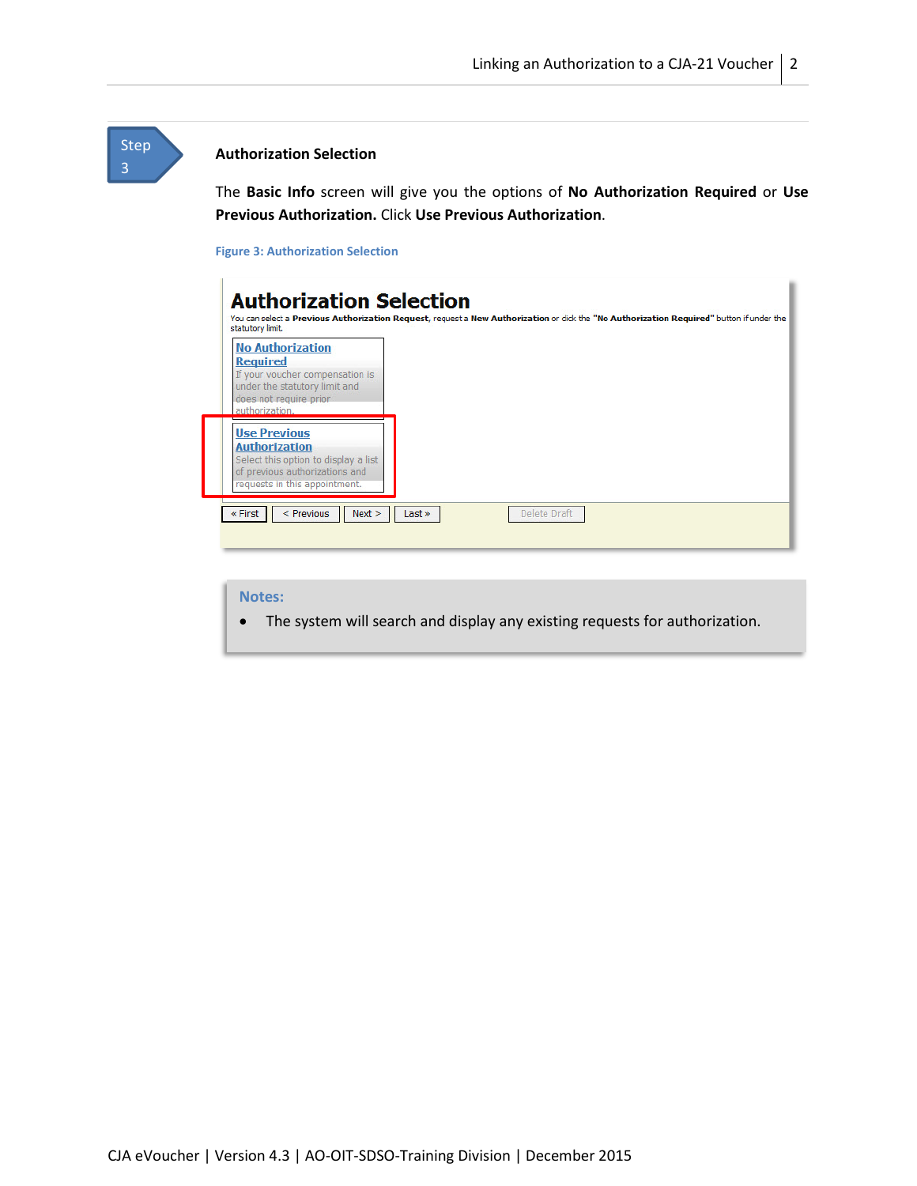### **Step** 3

#### **Authorization Selection**

The **Basic Info** screen will give you the options of **No Authorization Required** or **Use Previous Authorization.** Click **Use Previous Authorization**.

#### **Figure 3: Authorization Selection**

| <b>No Authorization</b><br><b>Required</b><br>If your voucher compensation is<br>under the statutory limit and<br>does not require prior<br>authorization. |  |  |
|------------------------------------------------------------------------------------------------------------------------------------------------------------|--|--|
| <b>Use Previous</b><br><b>Authorization</b><br>Select this option to display a list<br>of previous authorizations and<br>requests in this appointment.     |  |  |

#### **Notes:**

• The system will search and display any existing requests for authorization.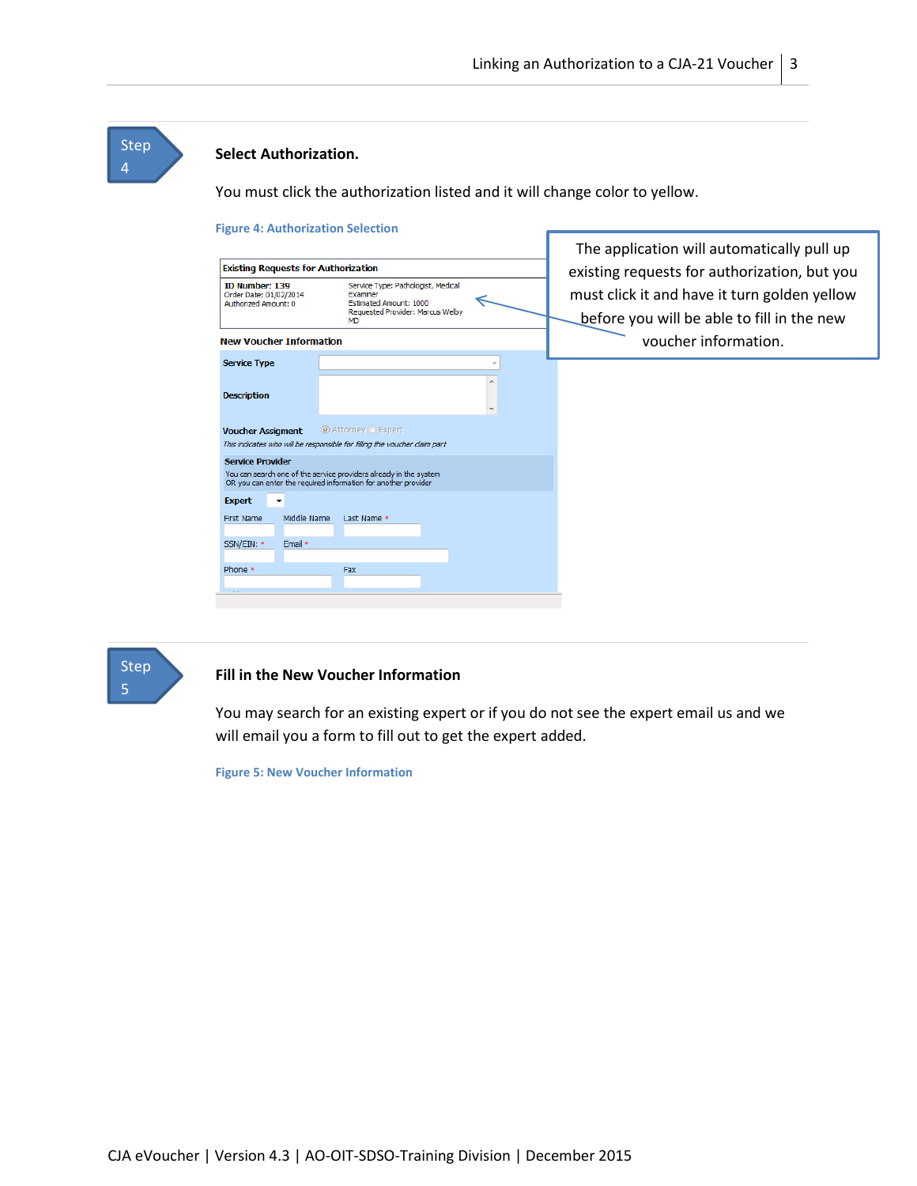## Step 4

#### **Select Authorization.**

You must click the authorization listed and it will change color to yellow.

#### **Figure 4: Authorization Selection** The application will automatically pull up **Existing Requests for Authorization** existing requests for authorization, but you Service Type: Pathologist, Medical ID Number: 139 ID NUMDer: 139<br>Order Date: 01/02/2014<br>Authorized Amount: 0 must click it and have it turn golden yellow Examiner<br>Estimated Amount: 1000 ∈ Requested Provider: Marcus Welby<br>MD before you will be able to fill in the new **New Voucher Information** voucher information. **Service Type** Ψ  $\blacktriangle$ **Description** Voucher Assigment @ Attorney O Expert This indicates who will be responsible for filling the voucher claim part **Service Provider** You can search one of the service providers already in the system<br>OR you can enter the required information for another provider Expert v First Name Middle Name Last Name \* SSN/EIN: \* Email \* Phone \* Fax



### **Fill in the New Voucher Information**

You may search for an existing expert or if you do not see the expert email us and we will email you a form to fill out to get the expert added.

**Figure 5: New Voucher Information**